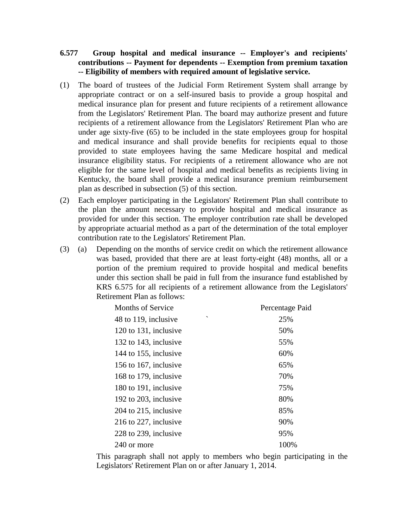- **6.577 Group hospital and medical insurance -- Employer's and recipients' contributions -- Payment for dependents -- Exemption from premium taxation -- Eligibility of members with required amount of legislative service.**
- (1) The board of trustees of the Judicial Form Retirement System shall arrange by appropriate contract or on a self-insured basis to provide a group hospital and medical insurance plan for present and future recipients of a retirement allowance from the Legislators' Retirement Plan. The board may authorize present and future recipients of a retirement allowance from the Legislators' Retirement Plan who are under age sixty-five (65) to be included in the state employees group for hospital and medical insurance and shall provide benefits for recipients equal to those provided to state employees having the same Medicare hospital and medical insurance eligibility status. For recipients of a retirement allowance who are not eligible for the same level of hospital and medical benefits as recipients living in Kentucky, the board shall provide a medical insurance premium reimbursement plan as described in subsection (5) of this section.
- (2) Each employer participating in the Legislators' Retirement Plan shall contribute to the plan the amount necessary to provide hospital and medical insurance as provided for under this section. The employer contribution rate shall be developed by appropriate actuarial method as a part of the determination of the total employer contribution rate to the Legislators' Retirement Plan.
- (3) (a) Depending on the months of service credit on which the retirement allowance was based, provided that there are at least forty-eight (48) months, all or a portion of the premium required to provide hospital and medical benefits under this section shall be paid in full from the insurance fund established by KRS 6.575 for all recipients of a retirement allowance from the Legislators' Retirement Plan as follows:

| <b>Months of Service</b>  | Percentage Paid |
|---------------------------|-----------------|
| ↖<br>48 to 119, inclusive | 25%             |
| 120 to 131, inclusive     | 50%             |
| 132 to 143, inclusive     | 55%             |
| 144 to 155, inclusive     | 60%             |
| 156 to 167, inclusive     | 65%             |
| 168 to 179, inclusive     | 70%             |
| 180 to 191, inclusive     | 75%             |
| 192 to 203, inclusive     | 80%             |
| 204 to 215, inclusive     | 85%             |
| 216 to 227, inclusive     | 90%             |
| 228 to 239, inclusive     | 95%             |
| 240 or more               | 100%            |

This paragraph shall not apply to members who begin participating in the Legislators' Retirement Plan on or after January 1, 2014.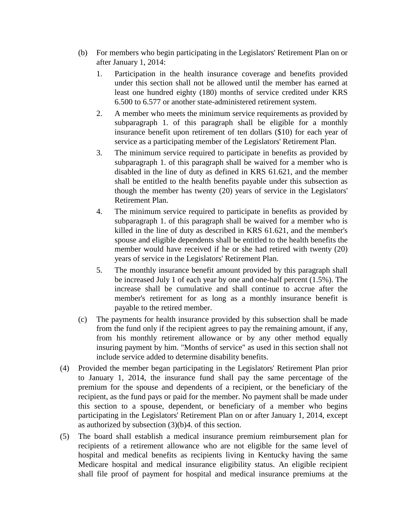- (b) For members who begin participating in the Legislators' Retirement Plan on or after January 1, 2014:
	- 1. Participation in the health insurance coverage and benefits provided under this section shall not be allowed until the member has earned at least one hundred eighty (180) months of service credited under KRS 6.500 to 6.577 or another state-administered retirement system.
	- 2. A member who meets the minimum service requirements as provided by subparagraph 1. of this paragraph shall be eligible for a monthly insurance benefit upon retirement of ten dollars (\$10) for each year of service as a participating member of the Legislators' Retirement Plan.
	- 3. The minimum service required to participate in benefits as provided by subparagraph 1. of this paragraph shall be waived for a member who is disabled in the line of duty as defined in KRS 61.621, and the member shall be entitled to the health benefits payable under this subsection as though the member has twenty (20) years of service in the Legislators' Retirement Plan.
	- 4. The minimum service required to participate in benefits as provided by subparagraph 1. of this paragraph shall be waived for a member who is killed in the line of duty as described in KRS 61.621, and the member's spouse and eligible dependents shall be entitled to the health benefits the member would have received if he or she had retired with twenty (20) years of service in the Legislators' Retirement Plan.
	- 5. The monthly insurance benefit amount provided by this paragraph shall be increased July 1 of each year by one and one-half percent (1.5%). The increase shall be cumulative and shall continue to accrue after the member's retirement for as long as a monthly insurance benefit is payable to the retired member.
- (c) The payments for health insurance provided by this subsection shall be made from the fund only if the recipient agrees to pay the remaining amount, if any, from his monthly retirement allowance or by any other method equally insuring payment by him. "Months of service" as used in this section shall not include service added to determine disability benefits.
- (4) Provided the member began participating in the Legislators' Retirement Plan prior to January 1, 2014, the insurance fund shall pay the same percentage of the premium for the spouse and dependents of a recipient, or the beneficiary of the recipient, as the fund pays or paid for the member. No payment shall be made under this section to a spouse, dependent, or beneficiary of a member who begins participating in the Legislators' Retirement Plan on or after January 1, 2014, except as authorized by subsection (3)(b)4. of this section.
- (5) The board shall establish a medical insurance premium reimbursement plan for recipients of a retirement allowance who are not eligible for the same level of hospital and medical benefits as recipients living in Kentucky having the same Medicare hospital and medical insurance eligibility status. An eligible recipient shall file proof of payment for hospital and medical insurance premiums at the